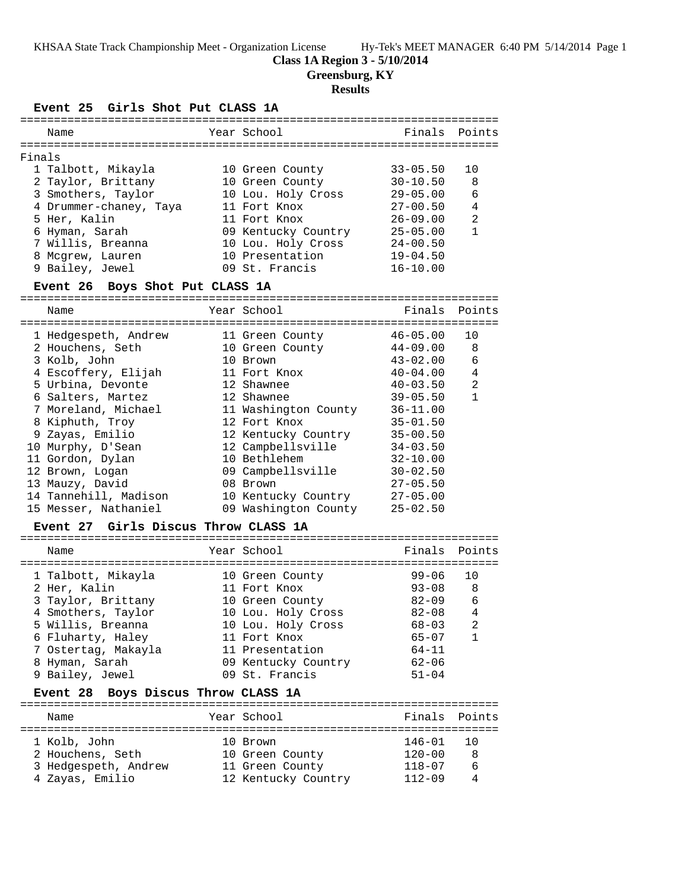KHSAA State Track Championship Meet - Organization License Hy-Tek's MEET MANAGER 6:40 PM 5/14/2014 Page 1

# **Class 1A Region 3 - 5/10/2014**

**Greensburg, KY**

# **Results**

**Event 25 Girls Shot Put CLASS 1A**

|        | Name                                          | Year School                           | Finals       | Points       |
|--------|-----------------------------------------------|---------------------------------------|--------------|--------------|
|        |                                               |                                       |              |              |
| Finals |                                               |                                       |              |              |
|        | 1 Talbott, Mikayla                            | 10 Green County                       | $33 - 05.50$ | 10           |
|        | 2 Taylor, Brittany                            | 10 Green County                       | $30 - 10.50$ | 8            |
|        | 3 Smothers, Taylor                            | 10 Lou. Holy Cross                    | $29 - 05.00$ | 6            |
|        | 4 Drummer-chaney, Taya                        | 11 Fort Knox                          | $27 - 00.50$ | 4            |
|        | 5 Her, Kalin                                  | 11 Fort Knox                          | 26-09.00     | 2            |
|        | 6 Hyman, Sarah                                | 09 Kentucky Country                   | $25 - 05.00$ | $\mathbf{1}$ |
|        | 7 Willis, Breanna                             | 10 Lou. Holy Cross                    | $24 - 00.50$ |              |
|        | 8 Mcgrew, Lauren                              | 10 Presentation                       | $19 - 04.50$ |              |
|        | 9 Bailey, Jewel                               | 09 St. Francis                        | $16 - 10.00$ |              |
|        |                                               |                                       |              |              |
|        | Event 26 Boys Shot Put CLASS 1A               |                                       |              |              |
|        | Name                                          | Year School                           | Finals       | Points       |
|        |                                               |                                       |              |              |
|        | 1 Hedgespeth, Andrew                          | 11 Green County                       | $46 - 05.00$ | 10           |
|        | 2 Houchens, Seth                              | 10 Green County                       | $44 - 09.00$ | 8            |
|        | 3 Kolb, John                                  | 10 Brown                              | $43 - 02.00$ | 6            |
|        | 4 Escoffery, Elijah                           | 11 Fort Knox                          | $40 - 04.00$ | 4            |
|        | 5 Urbina, Devonte                             | 12 Shawnee                            | $40 - 03.50$ | 2            |
|        | 6 Salters, Martez                             | 12 Shawnee                            | $39 - 05.50$ | $\mathbf{1}$ |
|        | 7 Moreland, Michael                           | 11 Washington County                  | $36 - 11.00$ |              |
|        | 8 Kiphuth, Troy                               | 12 Fort Knox                          | $35 - 01.50$ |              |
|        | 9 Zayas, Emilio                               | 12 Kentucky Country                   | $35 - 00.50$ |              |
|        | 10 Murphy, D'Sean                             | 12 Campbellsville                     | $34 - 03.50$ |              |
|        | 11 Gordon, Dylan                              | 10 Bethlehem                          | $32 - 10.00$ |              |
|        | 12 Brown, Logan                               | 09 Campbellsville                     | $30 - 02.50$ |              |
|        | 13 Mauzy, David                               | 08 Brown                              | $27 - 05.50$ |              |
|        | 14 Tannehill, Madison                         | 10 Kentucky Country                   | $27 - 05.00$ |              |
|        | 15 Messer, Nathaniel                          | 09 Washington County                  | $25 - 02.50$ |              |
|        | Event 27 Girls Discus Throw CLASS 1A          |                                       |              |              |
|        |                                               |                                       |              |              |
|        | Name                                          | Year School                           | Finals       | Points       |
|        | 1 Talbott, Mikayla                            | 10 Green County                       | $99 - 06$    | 10           |
|        | 2 Her, Kalin                                  | 11 Fort Knox                          | $93 - 08$    | 8            |
|        | 3 Taylor, Brittany                            | 10 Green County                       | $82 - 09$    | 6            |
|        | 4 Smothers, Taylor                            | 10 Lou. Holy Cross                    | $82 - 08$    | 4            |
|        | 5 Willis, Breanna                             | 10 Lou. Holy Cross                    | $68 - 03$    | 2            |
|        | 6 Fluharty, Haley                             | 11 Fort Knox                          | $65 - 07$    | 1            |
|        |                                               | 11 Presentation                       | $64 - 11$    |              |
|        | 7 Ostertag, Makayla                           |                                       | $62 - 06$    |              |
|        | 8 Hyman, Sarah                                | 09 Kentucky Country<br>09 St. Francis |              |              |
|        | 9 Bailey, Jewel                               |                                       | $51 - 04$    |              |
|        | Boys Discus Throw CLASS 1A<br><b>Event 28</b> |                                       |              |              |
|        | Name                                          | Year School                           | Finals       | Points       |
|        | 1 Kolb, John                                  | 10 Brown                              | 146-01       | 10           |
|        | 2 Houchens, Seth                              | 10 Green County                       | $120 - 00$   | 8            |
|        |                                               |                                       |              |              |
|        | 3 Hedgespeth, Andrew                          | 11 Green County                       | $118 - 07$   | 6            |

4 Zayas, Emilio 12 Kentucky Country 112-09 4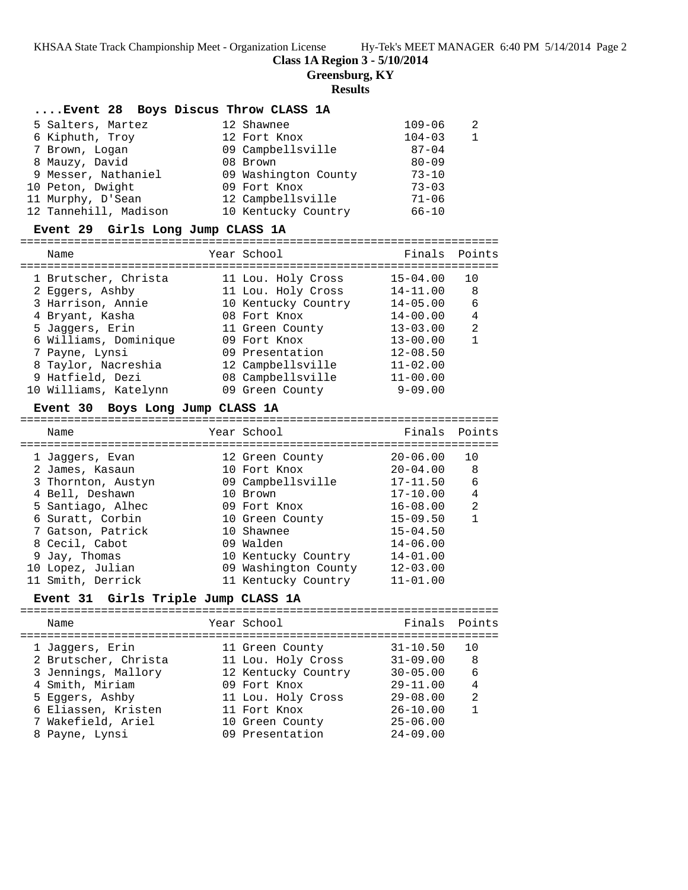KHSAA State Track Championship Meet - Organization License Hy-Tek's MEET MANAGER 6:40 PM 5/14/2014 Page 2

**Class 1A Region 3 - 5/10/2014**

**Greensburg, KY**

#### **Results**

#### **....Event 28 Boys Discus Throw CLASS 1A**

| 5 Salters, Martez     | 12 Shawnee           | $109 - 06$ | 2            |
|-----------------------|----------------------|------------|--------------|
| 6 Kiphuth, Troy       | 12 Fort Knox         | $104 - 03$ | $\mathbf{1}$ |
| 7 Brown, Logan        | 09 Campbellsville    | $87 - 04$  |              |
| 8 Mauzy, David        | 08 Brown             | $80 - 09$  |              |
| 9 Messer, Nathaniel   | 09 Washington County | $73 - 10$  |              |
| 10 Peton, Dwight      | 09 Fort Knox         | $73 - 03$  |              |
| 11 Murphy, D'Sean     | 12 Campbellsville    | $71 - 06$  |              |
| 12 Tannehill, Madison | 10 Kentucky Country  | $66 - 10$  |              |

#### **Event 29 Girls Long Jump CLASS 1A**

| ___  |                   |                                                                                                                                                                                                                                                                                                              |
|------|-------------------|--------------------------------------------------------------------------------------------------------------------------------------------------------------------------------------------------------------------------------------------------------------------------------------------------------------|
| Name | Year<br>nnn<br>51 | and the state of the state of the state of the state of the state of the state of the state of the state of the state of the state of the state of the state of the state of the state of the state of the state of the state<br>$\overline{\phantom{0}}$<br>$\mathbf{C}$<br>، ب<br>$\overline{a}$<br>------ |

| 1 Brutscher, Christa  | 11 Lou. Holy Cross  | $15 - 04.00$ | 10 |
|-----------------------|---------------------|--------------|----|
| 2 Eqqers, Ashby       | 11 Lou. Holy Cross  | $14 - 11.00$ | 8  |
| 3 Harrison, Annie     | 10 Kentucky Country | $14 - 05.00$ | 6  |
| 4 Bryant, Kasha       | 08 Fort Knox        | $14 - 00.00$ | 4  |
| 5 Jaggers, Erin       | 11 Green County     | $13 - 03.00$ | 2  |
| 6 Williams, Dominique | 09 Fort Knox        | $13 - 00.00$ |    |
| 7 Payne, Lynsi        | 09 Presentation     | $12 - 08.50$ |    |
| 8 Taylor, Nacreshia   | 12 Campbellsville   | $11 - 02.00$ |    |
| 9 Hatfield, Dezi      | 08 Campbellsville   | $11 - 00.00$ |    |
| 10 Williams, Katelynn | 09 Green County     | $9 - 09.00$  |    |

## **Event 30 Boys Long Jump CLASS 1A**

| Name               | Year School          | Finals Points |    |
|--------------------|----------------------|---------------|----|
| 1 Jaqqers, Evan    | 12 Green County      | $20 - 06.00$  | 10 |
| 2 James, Kasaun    | 10 Fort Knox         | $20 - 04.00$  | 8  |
| 3 Thornton, Austyn | 09 Campbellsville    | $17 - 11.50$  | 6  |
| 4 Bell, Deshawn    | 10 Brown             | $17 - 10.00$  | 4  |
| 5 Santiago, Alhec  | 09 Fort Knox         | $16 - 08.00$  | 2  |
| 6 Suratt, Corbin   | 10 Green County      | $15 - 09.50$  |    |
| 7 Gatson, Patrick  | 10 Shawnee           | $15 - 04.50$  |    |
| 8 Cecil, Cabot     | 09 Walden            | $14 - 06.00$  |    |
| 9 Jay, Thomas      | 10 Kentucky Country  | $14 - 01.00$  |    |
| 10 Lopez, Julian   | 09 Washington County | $12 - 03.00$  |    |
| 11 Smith, Derrick  | 11 Kentucky Country  | $11 - 01.00$  |    |

#### **Event 31 Girls Triple Jump CLASS 1A**

| Finals Points<br>Year School<br>Name<br>$31 - 10.50$<br>1 Jaqqers, Erin<br>1 O<br>11 Green County<br>2 Brutscher, Christa<br>$31 - 09.00$<br>11 Lou. Holy Cross<br>- 8<br>6<br>3 Jennings, Mallory<br>12 Kentucky Country<br>$30 - 05.00$<br>4 Smith, Miriam<br>$29 - 11.00$<br>$\overline{4}$<br>09 Fort Knox<br>$\mathfrak{D}$<br>5 Eqqers, Ashby<br>$29 - 08.00$<br>11 Lou. Holy Cross<br>6 Eliassen, Kristen<br>$26 - 10.00$<br>11 Fort Knox<br>7 Wakefield, Ariel<br>$25 - 06.00$<br>10 Green County | 09 Presentation<br>$24 - 09.00$<br>8 Payne, Lynsi |  |  |  |
|-----------------------------------------------------------------------------------------------------------------------------------------------------------------------------------------------------------------------------------------------------------------------------------------------------------------------------------------------------------------------------------------------------------------------------------------------------------------------------------------------------------|---------------------------------------------------|--|--|--|
|                                                                                                                                                                                                                                                                                                                                                                                                                                                                                                           |                                                   |  |  |  |
|                                                                                                                                                                                                                                                                                                                                                                                                                                                                                                           |                                                   |  |  |  |